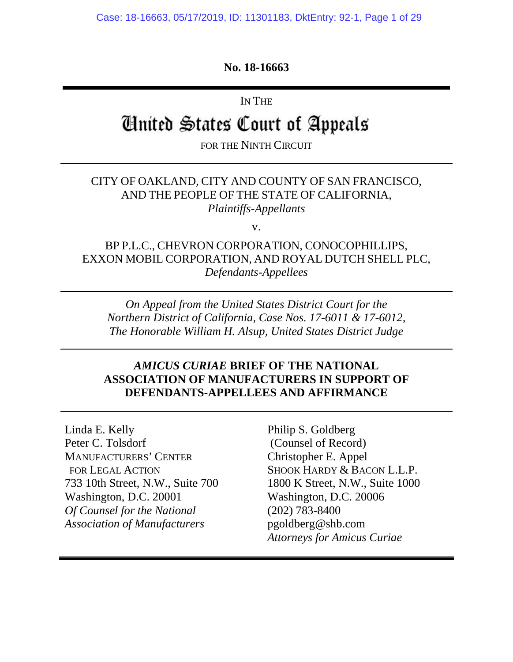## **No. 18-16663**

IN THE

# United States Court of Appeals

FOR THE NINTH CIRCUIT

## CITY OF OAKLAND, CITY AND COUNTY OF SAN FRANCISCO, AND THE PEOPLE OF THE STATE OF CALIFORNIA, *Plaintiffs-Appellants*

v.

BP P.L.C., CHEVRON CORPORATION, CONOCOPHILLIPS, EXXON MOBIL CORPORATION, AND ROYAL DUTCH SHELL PLC, *Defendants-Appellees* 

*On Appeal from the United States District Court for the Northern District of California, Case Nos. 17-6011 & 17-6012, The Honorable William H. Alsup, United States District Judge* 

#### *AMICUS CURIAE* **BRIEF OF THE NATIONAL ASSOCIATION OF MANUFACTURERS IN SUPPORT OF DEFENDANTS-APPELLEES AND AFFIRMANCE**

Linda E. Kelly Peter C. Tolsdorf MANUFACTURERS' CENTER FOR LEGAL ACTION 733 10th Street, N.W., Suite 700 Washington, D.C. 20001 *Of Counsel for the National Association of Manufacturers* 

Philip S. Goldberg (Counsel of Record) Christopher E. Appel SHOOK HARDY & BACON L.L.P. 1800 K Street, N.W., Suite 1000 Washington, D.C. 20006 (202) 783-8400 pgoldberg@shb.com *Attorneys for Amicus Curiae*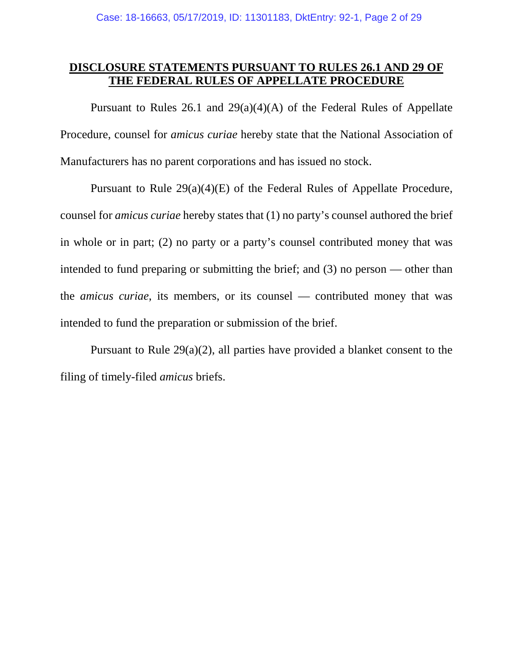## **DISCLOSURE STATEMENTS PURSUANT TO RULES 26.1 AND 29 OF THE FEDERAL RULES OF APPELLATE PROCEDURE**

Pursuant to Rules 26.1 and 29(a)(4)(A) of the Federal Rules of Appellate Procedure, counsel for *amicus curiae* hereby state that the National Association of Manufacturers has no parent corporations and has issued no stock.

Pursuant to Rule 29(a)(4)(E) of the Federal Rules of Appellate Procedure, counsel for *amicus curiae* hereby states that (1) no party's counsel authored the brief in whole or in part; (2) no party or a party's counsel contributed money that was intended to fund preparing or submitting the brief; and (3) no person — other than the *amicus curiae*, its members, or its counsel — contributed money that was intended to fund the preparation or submission of the brief.

Pursuant to Rule 29(a)(2), all parties have provided a blanket consent to the filing of timely-filed *amicus* briefs.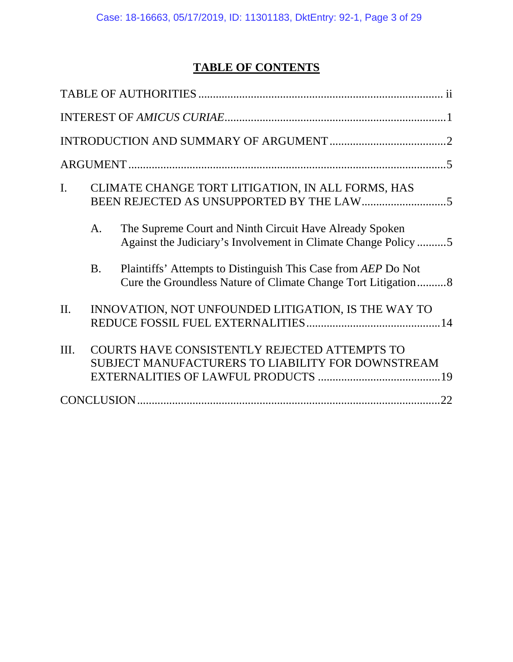## **TABLE OF CONTENTS**

| $\mathbf{I}$ . |           | CLIMATE CHANGE TORT LITIGATION, IN ALL FORMS, HAS                                                                              |  |  |  |
|----------------|-----------|--------------------------------------------------------------------------------------------------------------------------------|--|--|--|
|                | A.        | The Supreme Court and Ninth Circuit Have Already Spoken<br>Against the Judiciary's Involvement in Climate Change Policy 5      |  |  |  |
|                | <b>B.</b> | Plaintiffs' Attempts to Distinguish This Case from AEP Do Not<br>Cure the Groundless Nature of Climate Change Tort Litigation8 |  |  |  |
| II.            |           | INNOVATION, NOT UNFOUNDED LITIGATION, IS THE WAY TO                                                                            |  |  |  |
| III.           |           | COURTS HAVE CONSISTENTLY REJECTED ATTEMPTS TO<br>SUBJECT MANUFACTURERS TO LIABILITY FOR DOWNSTREAM                             |  |  |  |
|                |           |                                                                                                                                |  |  |  |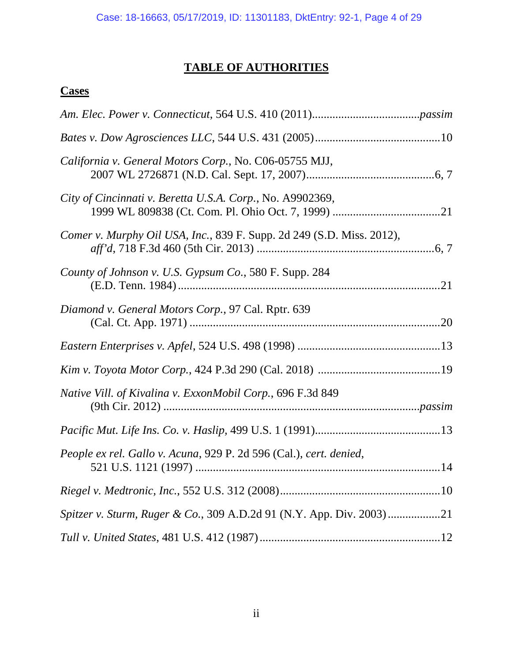## **TABLE OF AUTHORITIES**

## **Cases**

| California v. General Motors Corp., No. C06-05755 MJJ,                |
|-----------------------------------------------------------------------|
| City of Cincinnati v. Beretta U.S.A. Corp., No. A9902369,             |
| Comer v. Murphy Oil USA, Inc., 839 F. Supp. 2d 249 (S.D. Miss. 2012), |
| County of Johnson v. U.S. Gypsum Co., 580 F. Supp. 284                |
| Diamond v. General Motors Corp., 97 Cal. Rptr. 639                    |
|                                                                       |
|                                                                       |
| Native Vill. of Kivalina v. ExxonMobil Corp., 696 F.3d 849            |
|                                                                       |
| People ex rel. Gallo v. Acuna, 929 P. 2d 596 (Cal.), cert. denied,    |
|                                                                       |
|                                                                       |
|                                                                       |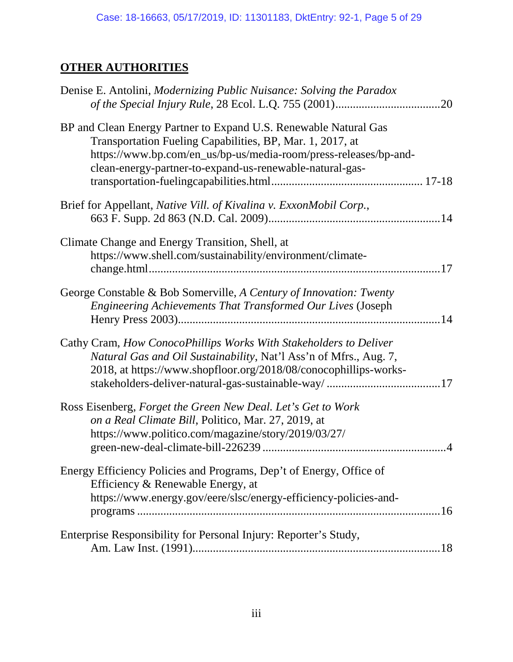## **OTHER AUTHORITIES**

| Denise E. Antolini, <i>Modernizing Public Nuisance: Solving the Paradox</i>                                                                                                                                                                                   |  |
|---------------------------------------------------------------------------------------------------------------------------------------------------------------------------------------------------------------------------------------------------------------|--|
| BP and Clean Energy Partner to Expand U.S. Renewable Natural Gas<br>Transportation Fueling Capabilities, BP, Mar. 1, 2017, at<br>https://www.bp.com/en_us/bp-us/media-room/press-releases/bp-and-<br>clean-energy-partner-to-expand-us-renewable-natural-gas- |  |
| Brief for Appellant, Native Vill. of Kivalina v. ExxonMobil Corp.,                                                                                                                                                                                            |  |
| Climate Change and Energy Transition, Shell, at<br>https://www.shell.com/sustainability/environment/climate-                                                                                                                                                  |  |
| George Constable & Bob Somerville, A Century of Innovation: Twenty<br>Engineering Achievements That Transformed Our Lives (Joseph                                                                                                                             |  |
| Cathy Cram, How ConocoPhillips Works With Stakeholders to Deliver<br>Natural Gas and Oil Sustainability, Nat'l Ass'n of Mfrs., Aug. 7,<br>2018, at https://www.shopfloor.org/2018/08/conocophillips-works-                                                    |  |
| Ross Eisenberg, Forget the Green New Deal. Let's Get to Work<br>on a Real Climate Bill, Politico, Mar. 27, 2019, at<br>https://www.politico.com/magazine/story/2019/03/27/                                                                                    |  |
| Energy Efficiency Policies and Programs, Dep't of Energy, Office of<br>Efficiency & Renewable Energy, at<br>https://www.energy.gov/eere/slsc/energy-efficiency-policies-and-                                                                                  |  |
| Enterprise Responsibility for Personal Injury: Reporter's Study,                                                                                                                                                                                              |  |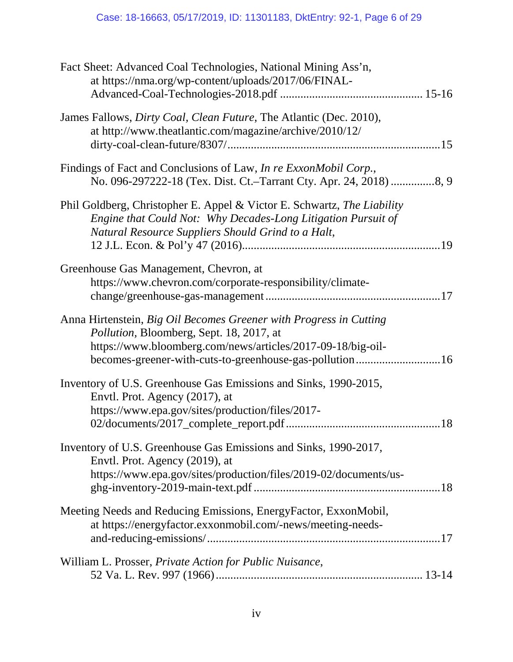| Fact Sheet: Advanced Coal Technologies, National Mining Ass'n,<br>at https://nma.org/wp-content/uploads/2017/06/FINAL-                                                                                                                   |
|------------------------------------------------------------------------------------------------------------------------------------------------------------------------------------------------------------------------------------------|
| James Fallows, <i>Dirty Coal, Clean Future</i> , The Atlantic (Dec. 2010),<br>at http://www.theatlantic.com/magazine/archive/2010/12/                                                                                                    |
| Findings of Fact and Conclusions of Law, <i>In re ExxonMobil Corp.</i> ,                                                                                                                                                                 |
| Phil Goldberg, Christopher E. Appel & Victor E. Schwartz, The Liability<br>Engine that Could Not: Why Decades-Long Litigation Pursuit of<br>Natural Resource Suppliers Should Grind to a Halt,                                           |
| Greenhouse Gas Management, Chevron, at<br>https://www.chevron.com/corporate-responsibility/climate-                                                                                                                                      |
| Anna Hirtenstein, Big Oil Becomes Greener with Progress in Cutting<br>Pollution, Bloomberg, Sept. 18, 2017, at<br>https://www.bloomberg.com/news/articles/2017-09-18/big-oil-<br>becomes-greener-with-cuts-to-greenhouse-gas-pollution16 |
| Inventory of U.S. Greenhouse Gas Emissions and Sinks, 1990-2015,<br>Envtl. Prot. Agency (2017), at<br>https://www.epa.gov/sites/production/files/2017-                                                                                   |
| Inventory of U.S. Greenhouse Gas Emissions and Sinks, 1990-2017,<br>Envtl. Prot. Agency (2019), at<br>https://www.epa.gov/sites/production/files/2019-02/documents/us-                                                                   |
| Meeting Needs and Reducing Emissions, EnergyFactor, ExxonMobil,<br>at https://energyfactor.exxonmobil.com/-news/meeting-needs-                                                                                                           |
| William L. Prosser, Private Action for Public Nuisance,                                                                                                                                                                                  |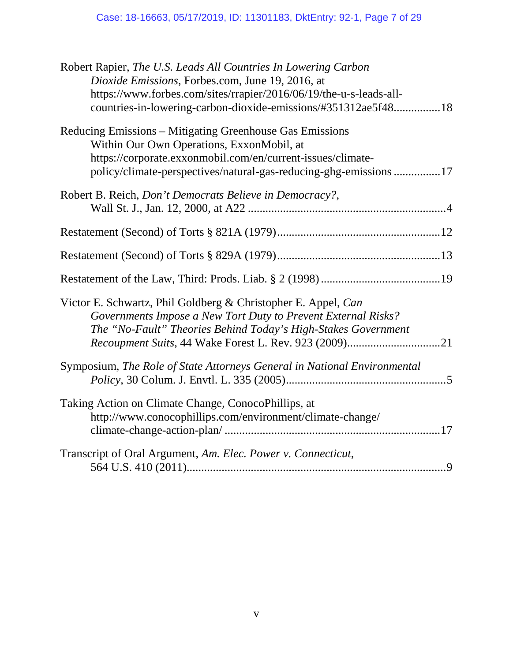| Robert Rapier, The U.S. Leads All Countries In Lowering Carbon<br>Dioxide Emissions, Forbes.com, June 19, 2016, at<br>https://www.forbes.com/sites/rrapier/2016/06/19/the-u-s-leads-all-<br>countries-in-lowering-carbon-dioxide-emissions/#351312ae5f4818      |  |
|-----------------------------------------------------------------------------------------------------------------------------------------------------------------------------------------------------------------------------------------------------------------|--|
| Reducing Emissions – Mitigating Greenhouse Gas Emissions<br>Within Our Own Operations, ExxonMobil, at<br>https://corporate.exxonmobil.com/en/current-issues/climate-<br>policy/climate-perspectives/natural-gas-reducing-ghg-emissions 17                       |  |
| Robert B. Reich, Don't Democrats Believe in Democracy?,                                                                                                                                                                                                         |  |
|                                                                                                                                                                                                                                                                 |  |
|                                                                                                                                                                                                                                                                 |  |
|                                                                                                                                                                                                                                                                 |  |
| Victor E. Schwartz, Phil Goldberg & Christopher E. Appel, Can<br>Governments Impose a New Tort Duty to Prevent External Risks?<br>The "No-Fault" Theories Behind Today's High-Stakes Government<br><i>Recoupment Suits, 44 Wake Forest L. Rev. 923 (2009)21</i> |  |
| Symposium, The Role of State Attorneys General in National Environmental                                                                                                                                                                                        |  |
| Taking Action on Climate Change, ConocoPhillips, at<br>http://www.conocophillips.com/environment/climate-change/                                                                                                                                                |  |
| Transcript of Oral Argument, Am. Elec. Power v. Connecticut,                                                                                                                                                                                                    |  |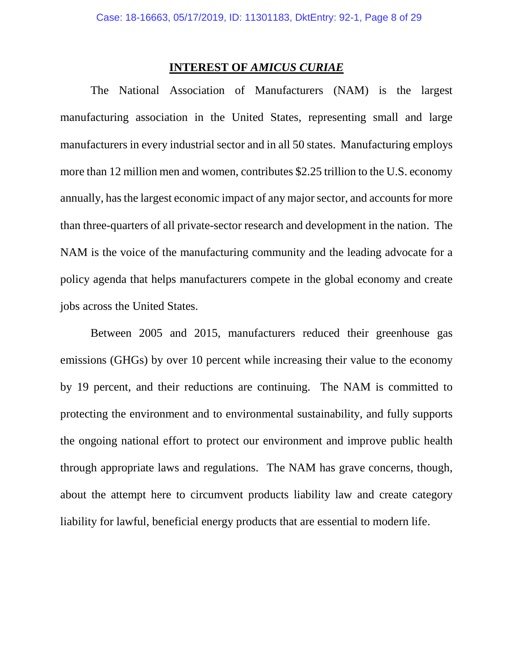#### **INTEREST OF** *AMICUS CURIAE*

The National Association of Manufacturers (NAM) is the largest manufacturing association in the United States, representing small and large manufacturers in every industrial sector and in all 50 states. Manufacturing employs more than 12 million men and women, contributes \$2.25 trillion to the U.S. economy annually, has the largest economic impact of any major sector, and accounts for more than three-quarters of all private-sector research and development in the nation. The NAM is the voice of the manufacturing community and the leading advocate for a policy agenda that helps manufacturers compete in the global economy and create jobs across the United States.

Between 2005 and 2015, manufacturers reduced their greenhouse gas emissions (GHGs) by over 10 percent while increasing their value to the economy by 19 percent, and their reductions are continuing. The NAM is committed to protecting the environment and to environmental sustainability, and fully supports the ongoing national effort to protect our environment and improve public health through appropriate laws and regulations. The NAM has grave concerns, though, about the attempt here to circumvent products liability law and create category liability for lawful, beneficial energy products that are essential to modern life.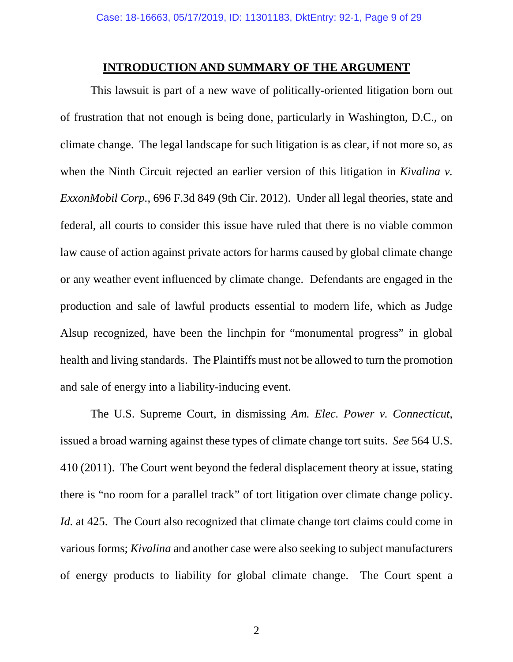#### **INTRODUCTION AND SUMMARY OF THE ARGUMENT**

This lawsuit is part of a new wave of politically-oriented litigation born out of frustration that not enough is being done, particularly in Washington, D.C., on climate change. The legal landscape for such litigation is as clear, if not more so, as when the Ninth Circuit rejected an earlier version of this litigation in *Kivalina v*. *ExxonMobil Corp.*, 696 F.3d 849 (9th Cir. 2012). Under all legal theories, state and federal, all courts to consider this issue have ruled that there is no viable common law cause of action against private actors for harms caused by global climate change or any weather event influenced by climate change. Defendants are engaged in the production and sale of lawful products essential to modern life, which as Judge Alsup recognized, have been the linchpin for "monumental progress" in global health and living standards. The Plaintiffs must not be allowed to turn the promotion and sale of energy into a liability-inducing event.

The U.S. Supreme Court, in dismissing *Am. Elec. Power v. Connecticut*, issued a broad warning against these types of climate change tort suits. *See* 564 U.S. 410 (2011). The Court went beyond the federal displacement theory at issue, stating there is "no room for a parallel track" of tort litigation over climate change policy. *Id.* at 425. The Court also recognized that climate change tort claims could come in various forms; *Kivalina* and another case were also seeking to subject manufacturers of energy products to liability for global climate change. The Court spent a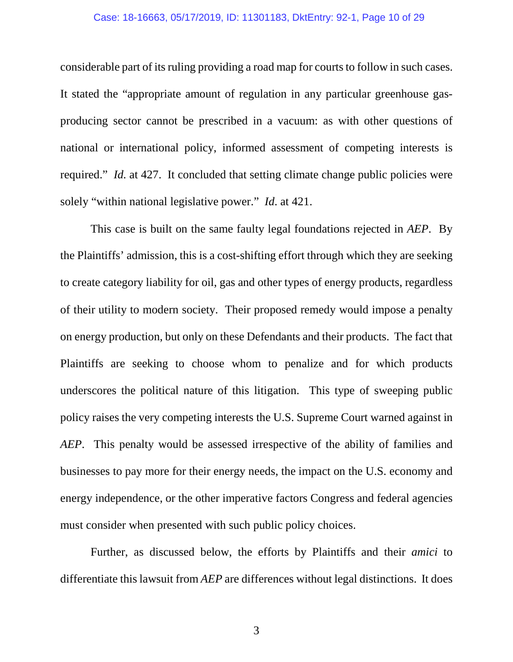#### Case: 18-16663, 05/17/2019, ID: 11301183, DktEntry: 92-1, Page 10 of 29

considerable part of its ruling providing a road map for courts to follow in such cases. It stated the "appropriate amount of regulation in any particular greenhouse gasproducing sector cannot be prescribed in a vacuum: as with other questions of national or international policy, informed assessment of competing interests is required." *Id.* at 427. It concluded that setting climate change public policies were solely "within national legislative power." *Id*. at 421.

This case is built on the same faulty legal foundations rejected in *AEP*. By the Plaintiffs' admission, this is a cost-shifting effort through which they are seeking to create category liability for oil, gas and other types of energy products, regardless of their utility to modern society. Their proposed remedy would impose a penalty on energy production, but only on these Defendants and their products. The fact that Plaintiffs are seeking to choose whom to penalize and for which products underscores the political nature of this litigation. This type of sweeping public policy raises the very competing interests the U.S. Supreme Court warned against in *AEP*. This penalty would be assessed irrespective of the ability of families and businesses to pay more for their energy needs, the impact on the U.S. economy and energy independence, or the other imperative factors Congress and federal agencies must consider when presented with such public policy choices.

Further, as discussed below, the efforts by Plaintiffs and their *amici* to differentiate this lawsuit from *AEP* are differences without legal distinctions. It does

3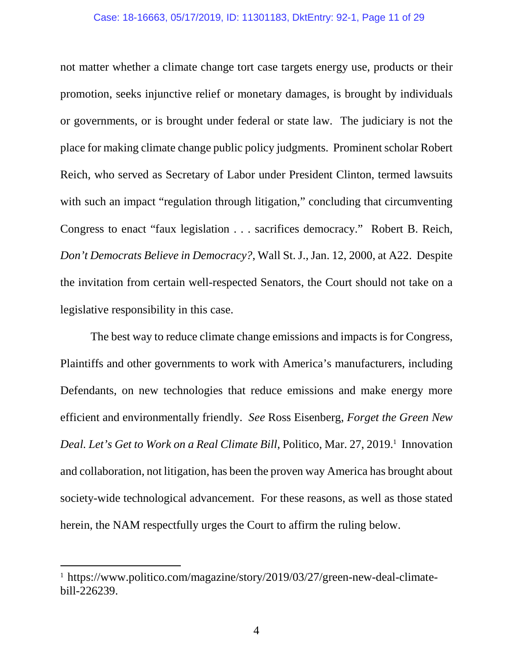#### Case: 18-16663, 05/17/2019, ID: 11301183, DktEntry: 92-1, Page 11 of 29

not matter whether a climate change tort case targets energy use, products or their promotion, seeks injunctive relief or monetary damages, is brought by individuals or governments, or is brought under federal or state law. The judiciary is not the place for making climate change public policy judgments. Prominent scholar Robert Reich, who served as Secretary of Labor under President Clinton, termed lawsuits with such an impact "regulation through litigation," concluding that circumventing Congress to enact "faux legislation . . . sacrifices democracy." Robert B. Reich, *Don't Democrats Believe in Democracy?*, Wall St. J., Jan. 12, 2000, at A22. Despite the invitation from certain well-respected Senators, the Court should not take on a legislative responsibility in this case.

The best way to reduce climate change emissions and impacts is for Congress, Plaintiffs and other governments to work with America's manufacturers, including Defendants, on new technologies that reduce emissions and make energy more efficient and environmentally friendly. *See* Ross Eisenberg, *Forget the Green New*  Deal. Let's Get to Work on a Real Climate Bill, Politico, Mar. 27, 2019.<sup>1</sup> Innovation and collaboration, not litigation, has been the proven way America has brought about society-wide technological advancement. For these reasons, as well as those stated herein, the NAM respectfully urges the Court to affirm the ruling below.

 $\overline{\phantom{a}}$ 

<sup>&</sup>lt;sup>1</sup> https://www.politico.com/magazine/story/2019/03/27/green-new-deal-climatebill-226239.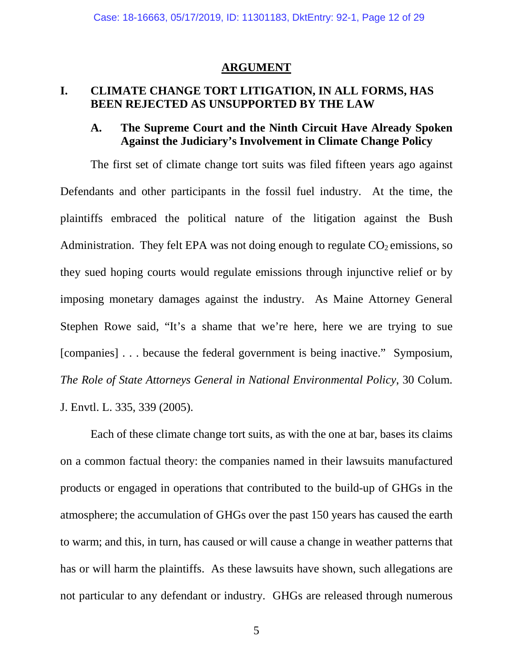#### **ARGUMENT**

### **I. CLIMATE CHANGE TORT LITIGATION, IN ALL FORMS, HAS BEEN REJECTED AS UNSUPPORTED BY THE LAW**

## **A. The Supreme Court and the Ninth Circuit Have Already Spoken Against the Judiciary's Involvement in Climate Change Policy**

The first set of climate change tort suits was filed fifteen years ago against Defendants and other participants in the fossil fuel industry. At the time, the plaintiffs embraced the political nature of the litigation against the Bush Administration. They felt EPA was not doing enough to regulate  $CO<sub>2</sub>$  emissions, so they sued hoping courts would regulate emissions through injunctive relief or by imposing monetary damages against the industry. As Maine Attorney General Stephen Rowe said, "It's a shame that we're here, here we are trying to sue [companies] . . . because the federal government is being inactive." Symposium, *The Role of State Attorneys General in National Environmental Policy*, 30 Colum. J. Envtl. L. 335, 339 (2005).

Each of these climate change tort suits, as with the one at bar, bases its claims on a common factual theory: the companies named in their lawsuits manufactured products or engaged in operations that contributed to the build-up of GHGs in the atmosphere; the accumulation of GHGs over the past 150 years has caused the earth to warm; and this, in turn, has caused or will cause a change in weather patterns that has or will harm the plaintiffs. As these lawsuits have shown, such allegations are not particular to any defendant or industry. GHGs are released through numerous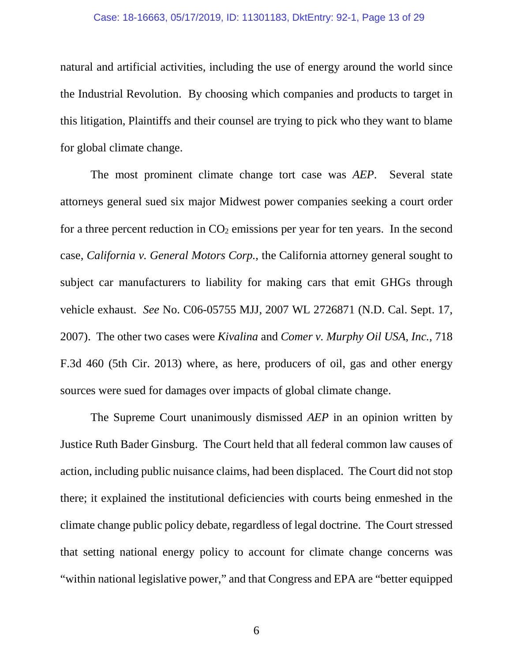#### Case: 18-16663, 05/17/2019, ID: 11301183, DktEntry: 92-1, Page 13 of 29

natural and artificial activities, including the use of energy around the world since the Industrial Revolution. By choosing which companies and products to target in this litigation, Plaintiffs and their counsel are trying to pick who they want to blame for global climate change.

The most prominent climate change tort case was *AEP*. Several state attorneys general sued six major Midwest power companies seeking a court order for a three percent reduction in  $CO<sub>2</sub>$  emissions per year for ten years. In the second case, *California v. General Motors Corp.*, the California attorney general sought to subject car manufacturers to liability for making cars that emit GHGs through vehicle exhaust. *See* No. C06-05755 MJJ, 2007 WL 2726871 (N.D. Cal. Sept. 17, 2007). The other two cases were *Kivalina* and *Comer v. Murphy Oil USA, Inc.*, 718 F.3d 460 (5th Cir. 2013) where, as here, producers of oil, gas and other energy sources were sued for damages over impacts of global climate change.

The Supreme Court unanimously dismissed *AEP* in an opinion written by Justice Ruth Bader Ginsburg. The Court held that all federal common law causes of action, including public nuisance claims, had been displaced. The Court did not stop there; it explained the institutional deficiencies with courts being enmeshed in the climate change public policy debate, regardless of legal doctrine. The Court stressed that setting national energy policy to account for climate change concerns was "within national legislative power," and that Congress and EPA are "better equipped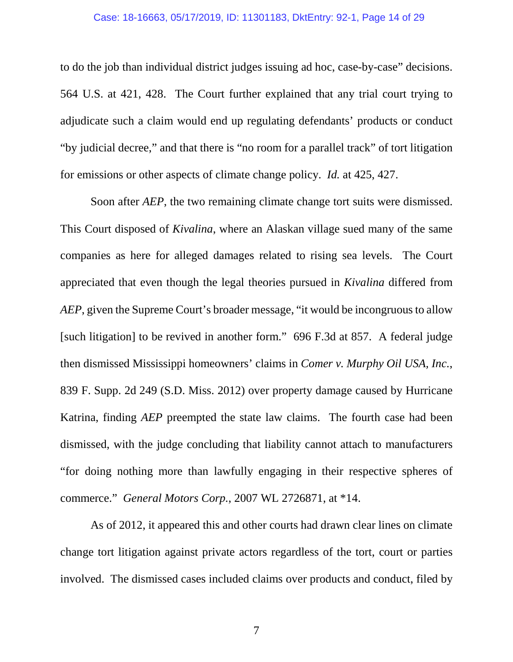to do the job than individual district judges issuing ad hoc, case-by-case" decisions. 564 U.S. at 421, 428. The Court further explained that any trial court trying to adjudicate such a claim would end up regulating defendants' products or conduct "by judicial decree," and that there is "no room for a parallel track" of tort litigation for emissions or other aspects of climate change policy. *Id.* at 425, 427.

Soon after *AEP*, the two remaining climate change tort suits were dismissed. This Court disposed of *Kivalina*, where an Alaskan village sued many of the same companies as here for alleged damages related to rising sea levels. The Court appreciated that even though the legal theories pursued in *Kivalina* differed from *AEP*, given the Supreme Court's broader message, "it would be incongruous to allow [such litigation] to be revived in another form." 696 F.3d at 857. A federal judge then dismissed Mississippi homeowners' claims in *Comer v. Murphy Oil USA, Inc.*, 839 F. Supp. 2d 249 (S.D. Miss. 2012) over property damage caused by Hurricane Katrina, finding *AEP* preempted the state law claims. The fourth case had been dismissed, with the judge concluding that liability cannot attach to manufacturers "for doing nothing more than lawfully engaging in their respective spheres of commerce." *General Motors Corp.*, 2007 WL 2726871, at \*14.

As of 2012, it appeared this and other courts had drawn clear lines on climate change tort litigation against private actors regardless of the tort, court or parties involved. The dismissed cases included claims over products and conduct, filed by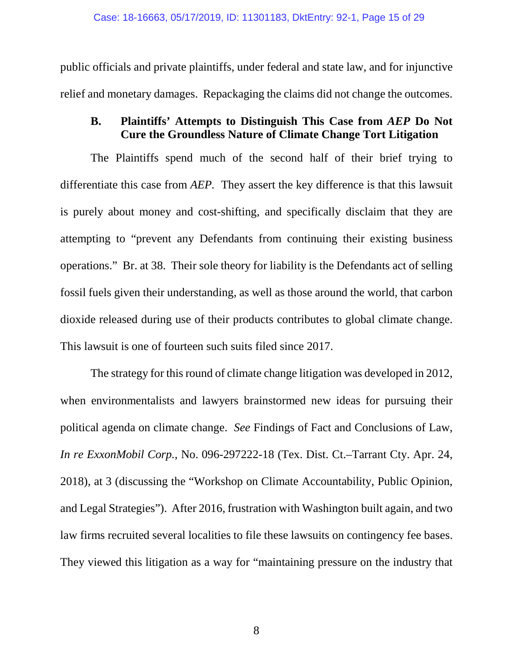public officials and private plaintiffs, under federal and state law, and for injunctive relief and monetary damages. Repackaging the claims did not change the outcomes.

## **B. Plaintiffs' Attempts to Distinguish This Case from** *AEP* **Do Not Cure the Groundless Nature of Climate Change Tort Litigation**

The Plaintiffs spend much of the second half of their brief trying to differentiate this case from *AEP.* They assert the key difference is that this lawsuit is purely about money and cost-shifting, and specifically disclaim that they are attempting to "prevent any Defendants from continuing their existing business operations." Br. at 38. Their sole theory for liability is the Defendants act of selling fossil fuels given their understanding, as well as those around the world, that carbon dioxide released during use of their products contributes to global climate change. This lawsuit is one of fourteen such suits filed since 2017.

The strategy for this round of climate change litigation was developed in 2012, when environmentalists and lawyers brainstormed new ideas for pursuing their political agenda on climate change. *See* Findings of Fact and Conclusions of Law, *In re ExxonMobil Corp.*, No. 096-297222-18 (Tex. Dist. Ct.–Tarrant Cty. Apr. 24, 2018), at 3 (discussing the "Workshop on Climate Accountability, Public Opinion, and Legal Strategies"). After 2016, frustration with Washington built again, and two law firms recruited several localities to file these lawsuits on contingency fee bases. They viewed this litigation as a way for "maintaining pressure on the industry that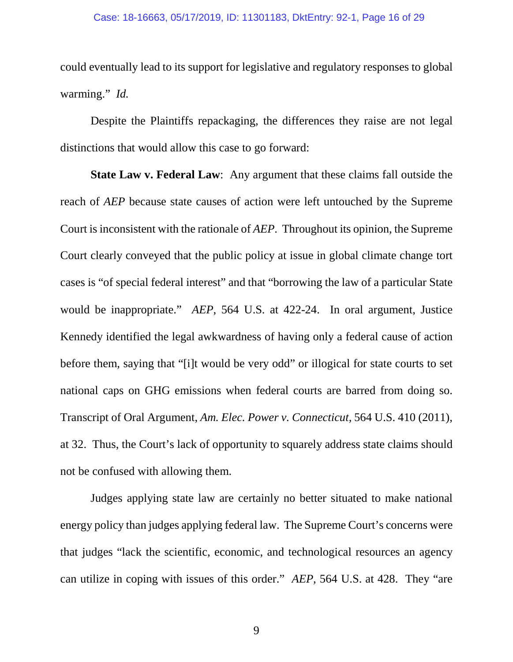could eventually lead to its support for legislative and regulatory responses to global warming." *Id.*

Despite the Plaintiffs repackaging, the differences they raise are not legal distinctions that would allow this case to go forward:

**State Law v. Federal Law:** Any argument that these claims fall outside the reach of *AEP* because state causes of action were left untouched by the Supreme Court is inconsistent with the rationale of *AEP*. Throughout its opinion, the Supreme Court clearly conveyed that the public policy at issue in global climate change tort cases is "of special federal interest" and that "borrowing the law of a particular State would be inappropriate." *AEP*, 564 U.S. at 422-24. In oral argument, Justice Kennedy identified the legal awkwardness of having only a federal cause of action before them, saying that "[i]t would be very odd" or illogical for state courts to set national caps on GHG emissions when federal courts are barred from doing so. Transcript of Oral Argument, *Am. Elec. Power v. Connecticut*, 564 U.S. 410 (2011), at 32. Thus, the Court's lack of opportunity to squarely address state claims should not be confused with allowing them.

Judges applying state law are certainly no better situated to make national energy policy than judges applying federal law. The Supreme Court's concerns were that judges "lack the scientific, economic, and technological resources an agency can utilize in coping with issues of this order." *AEP*, 564 U.S. at 428. They "are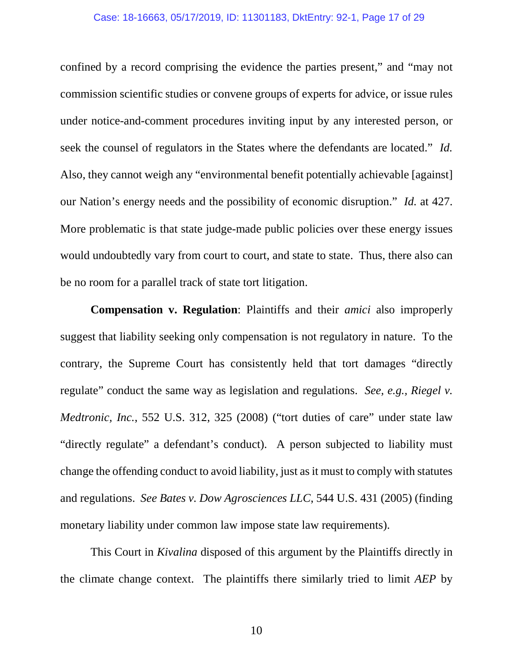#### Case: 18-16663, 05/17/2019, ID: 11301183, DktEntry: 92-1, Page 17 of 29

confined by a record comprising the evidence the parties present," and "may not commission scientific studies or convene groups of experts for advice, or issue rules under notice-and-comment procedures inviting input by any interested person, or seek the counsel of regulators in the States where the defendants are located." *Id.* Also, they cannot weigh any "environmental benefit potentially achievable [against] our Nation's energy needs and the possibility of economic disruption." *Id.* at 427. More problematic is that state judge-made public policies over these energy issues would undoubtedly vary from court to court, and state to state. Thus, there also can be no room for a parallel track of state tort litigation.

**Compensation v. Regulation**: Plaintiffs and their *amici* also improperly suggest that liability seeking only compensation is not regulatory in nature. To the contrary, the Supreme Court has consistently held that tort damages "directly regulate" conduct the same way as legislation and regulations. *See, e.g., Riegel v. Medtronic, Inc.*, 552 U.S. 312, 325 (2008) ("tort duties of care" under state law "directly regulate" a defendant's conduct). A person subjected to liability must change the offending conduct to avoid liability, just as it must to comply with statutes and regulations. *See Bates v. Dow Agrosciences LLC*, 544 U.S. 431 (2005) (finding monetary liability under common law impose state law requirements).

This Court in *Kivalina* disposed of this argument by the Plaintiffs directly in the climate change context. The plaintiffs there similarly tried to limit *AEP* by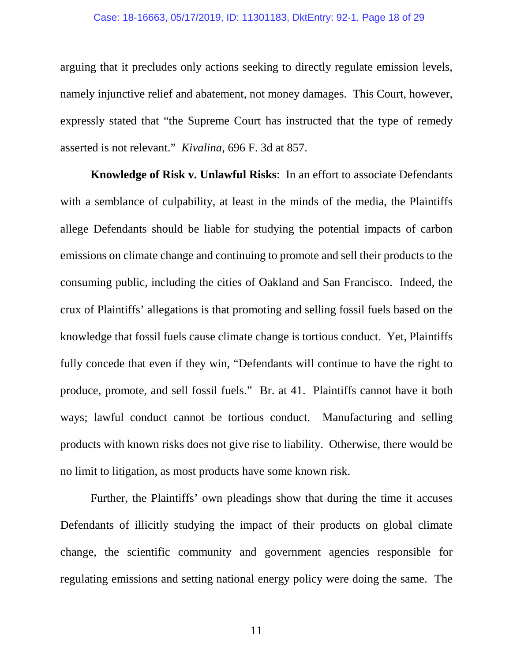#### Case: 18-16663, 05/17/2019, ID: 11301183, DktEntry: 92-1, Page 18 of 29

arguing that it precludes only actions seeking to directly regulate emission levels, namely injunctive relief and abatement, not money damages. This Court, however, expressly stated that "the Supreme Court has instructed that the type of remedy asserted is not relevant." *Kivalina*, 696 F. 3d at 857.

**Knowledge of Risk v. Unlawful Risks**: In an effort to associate Defendants with a semblance of culpability, at least in the minds of the media, the Plaintiffs allege Defendants should be liable for studying the potential impacts of carbon emissions on climate change and continuing to promote and sell their products to the consuming public, including the cities of Oakland and San Francisco. Indeed, the crux of Plaintiffs' allegations is that promoting and selling fossil fuels based on the knowledge that fossil fuels cause climate change is tortious conduct. Yet, Plaintiffs fully concede that even if they win, "Defendants will continue to have the right to produce, promote, and sell fossil fuels." Br. at 41. Plaintiffs cannot have it both ways; lawful conduct cannot be tortious conduct. Manufacturing and selling products with known risks does not give rise to liability. Otherwise, there would be no limit to litigation, as most products have some known risk.

Further, the Plaintiffs' own pleadings show that during the time it accuses Defendants of illicitly studying the impact of their products on global climate change, the scientific community and government agencies responsible for regulating emissions and setting national energy policy were doing the same. The

11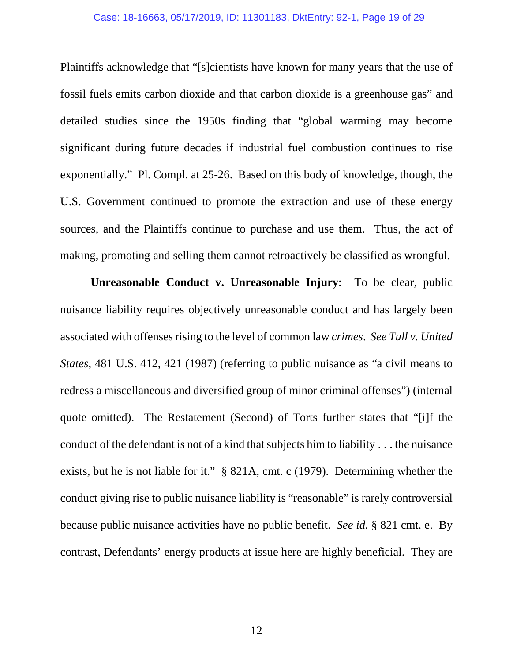#### Case: 18-16663, 05/17/2019, ID: 11301183, DktEntry: 92-1, Page 19 of 29

Plaintiffs acknowledge that "[s]cientists have known for many years that the use of fossil fuels emits carbon dioxide and that carbon dioxide is a greenhouse gas" and detailed studies since the 1950s finding that "global warming may become significant during future decades if industrial fuel combustion continues to rise exponentially." Pl. Compl. at 25-26. Based on this body of knowledge, though, the U.S. Government continued to promote the extraction and use of these energy sources, and the Plaintiffs continue to purchase and use them. Thus, the act of making, promoting and selling them cannot retroactively be classified as wrongful.

**Unreasonable Conduct v. Unreasonable Injury**: To be clear, public nuisance liability requires objectively unreasonable conduct and has largely been associated with offenses rising to the level of common law *crimes*. *See Tull v. United States*, 481 U.S. 412, 421 (1987) (referring to public nuisance as "a civil means to redress a miscellaneous and diversified group of minor criminal offenses") (internal quote omitted). The Restatement (Second) of Torts further states that "[i]f the conduct of the defendant is not of a kind that subjects him to liability . . . the nuisance exists, but he is not liable for it." § 821A, cmt. c (1979). Determining whether the conduct giving rise to public nuisance liability is "reasonable" is rarely controversial because public nuisance activities have no public benefit. *See id.* § 821 cmt. e. By contrast, Defendants' energy products at issue here are highly beneficial. They are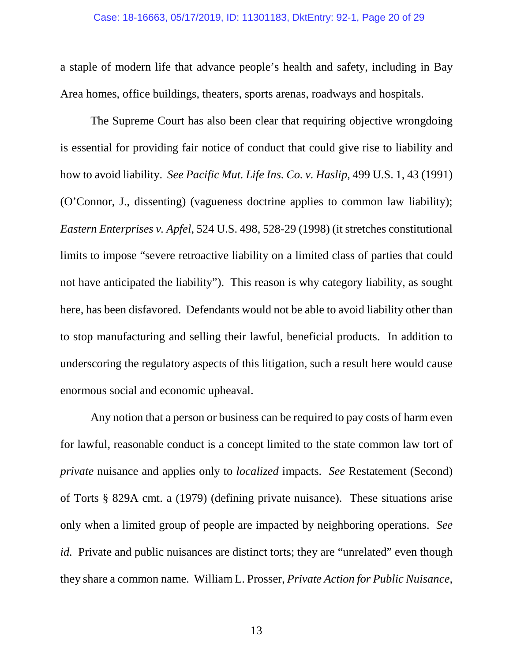a staple of modern life that advance people's health and safety, including in Bay Area homes, office buildings, theaters, sports arenas, roadways and hospitals.

The Supreme Court has also been clear that requiring objective wrongdoing is essential for providing fair notice of conduct that could give rise to liability and how to avoid liability. *See Pacific Mut. Life Ins. Co. v. Haslip,* 499 U.S. 1, 43 (1991) (O'Connor, J., dissenting) (vagueness doctrine applies to common law liability); *Eastern Enterprises v. Apfel*, 524 U.S. 498, 528-29 (1998) (it stretches constitutional limits to impose "severe retroactive liability on a limited class of parties that could not have anticipated the liability"). This reason is why category liability, as sought here, has been disfavored. Defendants would not be able to avoid liability other than to stop manufacturing and selling their lawful, beneficial products. In addition to underscoring the regulatory aspects of this litigation, such a result here would cause enormous social and economic upheaval.

Any notion that a person or business can be required to pay costs of harm even for lawful, reasonable conduct is a concept limited to the state common law tort of *private* nuisance and applies only to *localized* impacts. *See* Restatement (Second) of Torts § 829A cmt. a (1979) (defining private nuisance). These situations arise only when a limited group of people are impacted by neighboring operations. *See id.* Private and public nuisances are distinct torts; they are "unrelated" even though they share a common name. William L. Prosser, *Private Action for Public Nuisance*,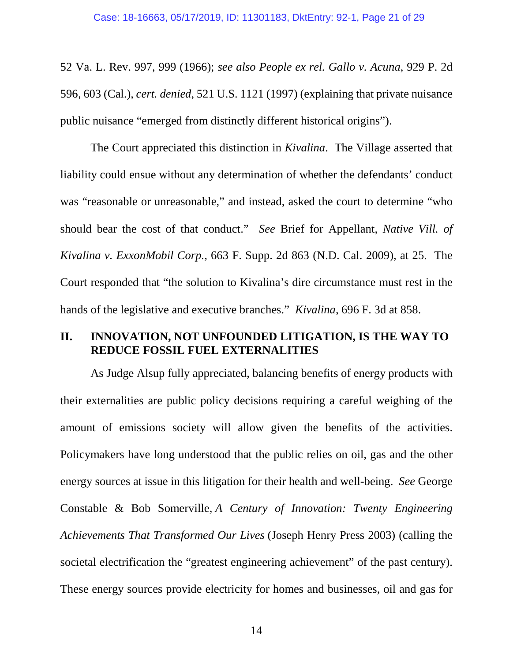52 Va. L. Rev. 997, 999 (1966); *see also People ex rel. Gallo v. Acuna*, 929 P. 2d 596, 603 (Cal.), *cert. denied*, 521 U.S. 1121 (1997) (explaining that private nuisance public nuisance "emerged from distinctly different historical origins").

The Court appreciated this distinction in *Kivalina*. The Village asserted that liability could ensue without any determination of whether the defendants' conduct was "reasonable or unreasonable," and instead, asked the court to determine "who should bear the cost of that conduct." *See* Brief for Appellant, *Native Vill. of Kivalina v. ExxonMobil Corp.*, 663 F. Supp. 2d 863 (N.D. Cal. 2009), at 25. The Court responded that "the solution to Kivalina's dire circumstance must rest in the hands of the legislative and executive branches." *Kivalina*, 696 F. 3d at 858.

## **II. INNOVATION, NOT UNFOUNDED LITIGATION, IS THE WAY TO REDUCE FOSSIL FUEL EXTERNALITIES**

As Judge Alsup fully appreciated, balancing benefits of energy products with their externalities are public policy decisions requiring a careful weighing of the amount of emissions society will allow given the benefits of the activities. Policymakers have long understood that the public relies on oil, gas and the other energy sources at issue in this litigation for their health and well-being. *See* George Constable & Bob Somerville, *A Century of Innovation: Twenty Engineering Achievements That Transformed Our Lives* (Joseph Henry Press 2003) (calling the societal electrification the "greatest engineering achievement" of the past century). These energy sources provide electricity for homes and businesses, oil and gas for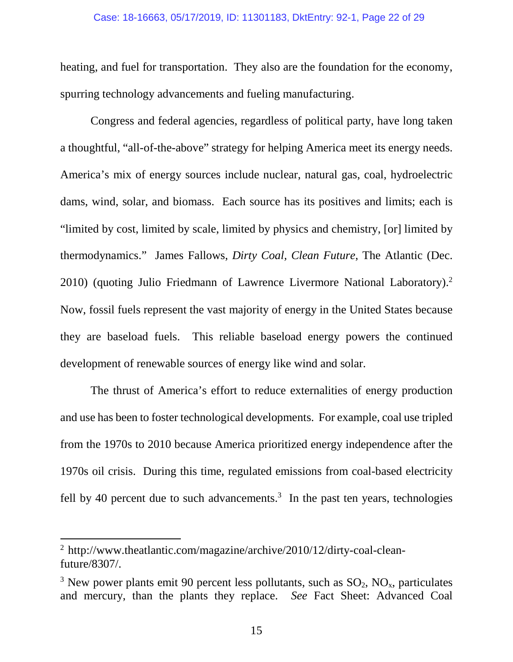#### Case: 18-16663, 05/17/2019, ID: 11301183, DktEntry: 92-1, Page 22 of 29

heating, and fuel for transportation. They also are the foundation for the economy, spurring technology advancements and fueling manufacturing.

Congress and federal agencies, regardless of political party, have long taken a thoughtful, "all-of-the-above" strategy for helping America meet its energy needs. America's mix of energy sources include nuclear, natural gas, coal, hydroelectric dams, wind, solar, and biomass. Each source has its positives and limits; each is "limited by cost, limited by scale, limited by physics and chemistry, [or] limited by thermodynamics." James Fallows, *Dirty Coal, Clean Future*, The Atlantic (Dec. 2010) (quoting Julio Friedmann of Lawrence Livermore National Laboratory).<sup>2</sup> Now, fossil fuels represent the vast majority of energy in the United States because they are baseload fuels. This reliable baseload energy powers the continued development of renewable sources of energy like wind and solar.

The thrust of America's effort to reduce externalities of energy production and use has been to foster technological developments. For example, coal use tripled from the 1970s to 2010 because America prioritized energy independence after the 1970s oil crisis. During this time, regulated emissions from coal-based electricity fell by 40 percent due to such advancements.<sup>3</sup> In the past ten years, technologies

 $\overline{\phantom{a}}$ 

<sup>&</sup>lt;sup>2</sup> http://www.theatlantic.com/magazine/archive/2010/12/dirty-coal-cleanfuture/8307/.

<sup>&</sup>lt;sup>3</sup> New power plants emit 90 percent less pollutants, such as  $SO_2$ ,  $NO_x$ , particulates and mercury, than the plants they replace. *See* Fact Sheet: Advanced Coal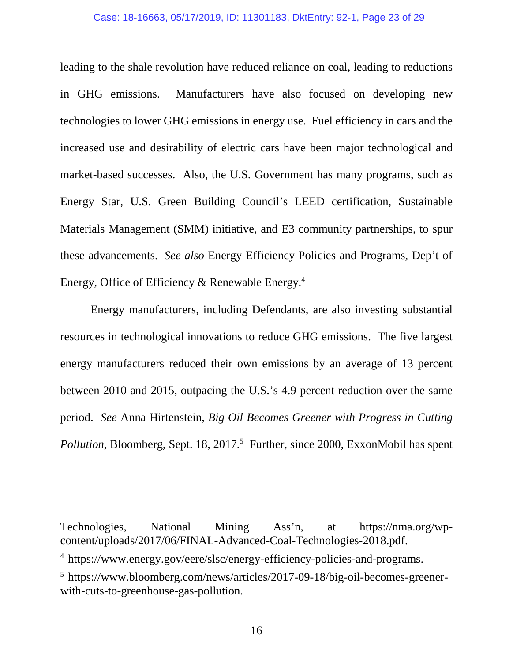#### Case: 18-16663, 05/17/2019, ID: 11301183, DktEntry: 92-1, Page 23 of 29

leading to the shale revolution have reduced reliance on coal, leading to reductions in GHG emissions. Manufacturers have also focused on developing new technologies to lower GHG emissions in energy use. Fuel efficiency in cars and the increased use and desirability of electric cars have been major technological and market-based successes. Also, the U.S. Government has many programs, such as Energy Star, U.S. Green Building Council's LEED certification, Sustainable Materials Management (SMM) initiative, and E3 community partnerships, to spur these advancements. *See also* Energy Efficiency Policies and Programs, Dep't of Energy, Office of Efficiency & Renewable Energy.<sup>4</sup>

Energy manufacturers, including Defendants, are also investing substantial resources in technological innovations to reduce GHG emissions. The five largest energy manufacturers reduced their own emissions by an average of 13 percent between 2010 and 2015, outpacing the U.S.'s 4.9 percent reduction over the same period. *See* Anna Hirtenstein, *Big Oil Becomes Greener with Progress in Cutting*  Pollution, Bloomberg, Sept. 18, 2017.<sup>5</sup> Further, since 2000, ExxonMobil has spent

 $\overline{\phantom{a}}$ 

Technologies, National Mining Ass'n, at https://nma.org/wpcontent/uploads/2017/06/FINAL-Advanced-Coal-Technologies-2018.pdf.

<sup>4</sup> 'https://www.energy.gov/eere/slsc/energy-efficiency-policies-and-programs.

<sup>&</sup>lt;sup>5</sup> https://www.bloomberg.com/news/articles/2017-09-18/big-oil-becomes-greenerwith-cuts-to-greenhouse-gas-pollution.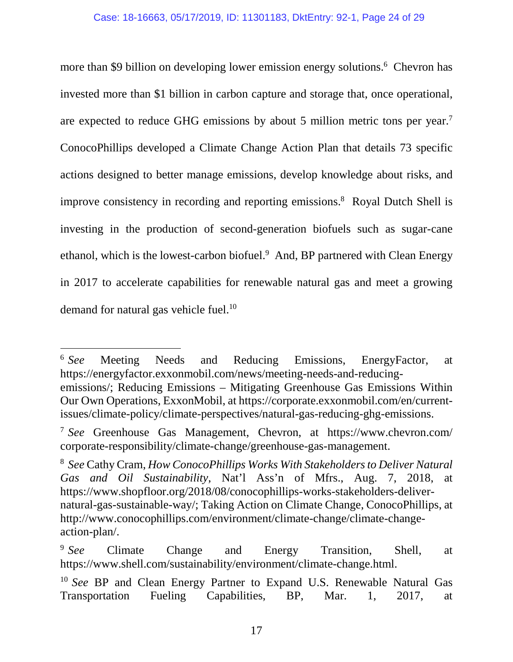more than \$9 billion on developing lower emission energy solutions.<sup>6</sup> Chevron has invested more than \$1 billion in carbon capture and storage that, once operational, are expected to reduce GHG emissions by about 5 million metric tons per year.<sup>7</sup> ConocoPhillips developed a Climate Change Action Plan that details 73 specific actions designed to better manage emissions, develop knowledge about risks, and improve consistency in recording and reporting emissions.<sup>8</sup> Royal Dutch Shell is investing in the production of second-generation biofuels such as sugar-cane ethanol, which is the lowest-carbon biofuel.<sup>9</sup> And, BP partnered with Clean Energy in 2017 to accelerate capabilities for renewable natural gas and meet a growing demand for natural gas vehicle fuel.<sup>10</sup>

 $6$  See Meeting Needs and Reducing Emissions, EnergyFactor, at https://energyfactor.exxonmobil.com/news/meeting-needs-and-reducingemissions/; Reducing Emissions – Mitigating Greenhouse Gas Emissions Within Our Own Operations, ExxonMobil, at https://corporate.exxonmobil.com/en/currentissues/climate-policy/climate-perspectives/natural-gas-reducing-ghg-emissions.

 $\overline{a}$ 

<sup>7</sup> *'See* Greenhouse Gas Management, Chevron, at https://www.chevron.com/ corporate-responsibility/climate-change/greenhouse-gas-management.

<sup>8</sup> *'See* Cathy Cram, *How ConocoPhillips Works With Stakeholders to Deliver Natural Gas and Oil Sustainability*, Nat'l Ass'n of Mfrs., Aug. 7, 2018, at https://www.shopfloor.org/2018/08/conocophillips-works-stakeholders-delivernatural-gas-sustainable-way/; Taking Action on Climate Change, ConocoPhillips, at http://www.conocophillips.com/environment/climate-change/climate-changeaction-plan/.

 $9$  See Climate Change and Energy Transition, Shell, at https://www.shell.com/sustainability/environment/climate-change.html.

<sup>&</sup>lt;sup>10</sup> See BP and Clean Energy Partner to Expand U.S. Renewable Natural Gas Transportation Fueling Capabilities, BP, Mar. 1, 2017, at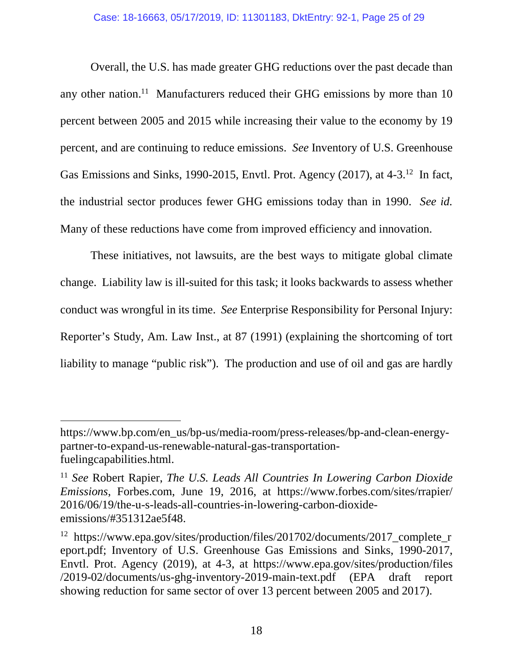Overall, the U.S. has made greater GHG reductions over the past decade than any other nation.<sup>11</sup> Manufacturers reduced their GHG emissions by more than  $10$ percent between 2005 and 2015 while increasing their value to the economy by 19 percent, and are continuing to reduce emissions. *See* Inventory of U.S. Greenhouse Gas Emissions and Sinks, 1990-2015, Envtl. Prot. Agency (2017), at 4-3.<sup>12</sup> In fact, the industrial sector produces fewer GHG emissions today than in 1990. *See id.* Many of these reductions have come from improved efficiency and innovation.

These initiatives, not lawsuits, are the best ways to mitigate global climate change. Liability law is ill-suited for this task; it looks backwards to assess whether conduct was wrongful in its time. *See* Enterprise Responsibility for Personal Injury: Reporter's Study, Am. Law Inst., at 87 (1991) (explaining the shortcoming of tort liability to manage "public risk"). The production and use of oil and gas are hardly

 $\overline{\phantom{a}}$ 

https://www.bp.com/en\_us/bp-us/media-room/press-releases/bp-and-clean-energypartner-to-expand-us-renewable-natural-gas-transportationfuelingcapabilities.html.

<sup>11</sup> *See* Robert Rapier, *The U.S. Leads All Countries In Lowering Carbon Dioxide Emissions*, Forbes.com, June 19, 2016, at https://www.forbes.com/sites/rrapier/ 2016/06/19/the-u-s-leads-all-countries-in-lowering-carbon-dioxideemissions/#351312ae5f48.

<sup>&</sup>lt;sup>12</sup> https://www.epa.gov/sites/production/files/201702/documents/2017 complete r eport.pdf; Inventory of U.S. Greenhouse Gas Emissions and Sinks, 1990-2017, Envtl. Prot. Agency (2019), at 4-3, at https://www.epa.gov/sites/production/files /2019-02/documents/us-ghg-inventory-2019-main-text.pdf (EPA draft report showing reduction for same sector of over 13 percent between 2005 and 2017).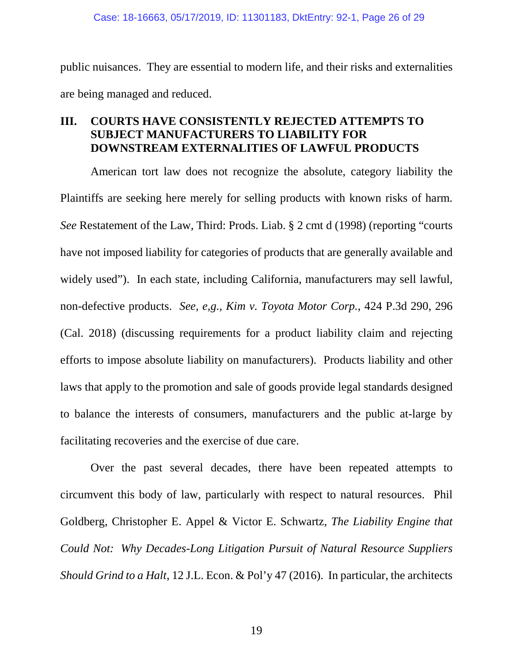public nuisances. They are essential to modern life, and their risks and externalities are being managed and reduced.

## **III. COURTS HAVE CONSISTENTLY REJECTED ATTEMPTS TO SUBJECT MANUFACTURERS TO LIABILITY FOR DOWNSTREAM EXTERNALITIES OF LAWFUL PRODUCTS**

American tort law does not recognize the absolute, category liability the Plaintiffs are seeking here merely for selling products with known risks of harm. *See* Restatement of the Law, Third: Prods. Liab. § 2 cmt d (1998) (reporting "courts have not imposed liability for categories of products that are generally available and widely used"). In each state, including California, manufacturers may sell lawful, non-defective products. *See, e,g., Kim v. Toyota Motor Corp.*, 424 P.3d 290, 296 (Cal. 2018) (discussing requirements for a product liability claim and rejecting efforts to impose absolute liability on manufacturers). Products liability and other laws that apply to the promotion and sale of goods provide legal standards designed to balance the interests of consumers, manufacturers and the public at-large by facilitating recoveries and the exercise of due care.

Over the past several decades, there have been repeated attempts to circumvent this body of law, particularly with respect to natural resources. Phil Goldberg, Christopher E. Appel & Victor E. Schwartz, *The Liability Engine that Could Not: Why Decades-Long Litigation Pursuit of Natural Resource Suppliers Should Grind to a Halt*, 12 J.L. Econ. & Pol'y 47 (2016). In particular, the architects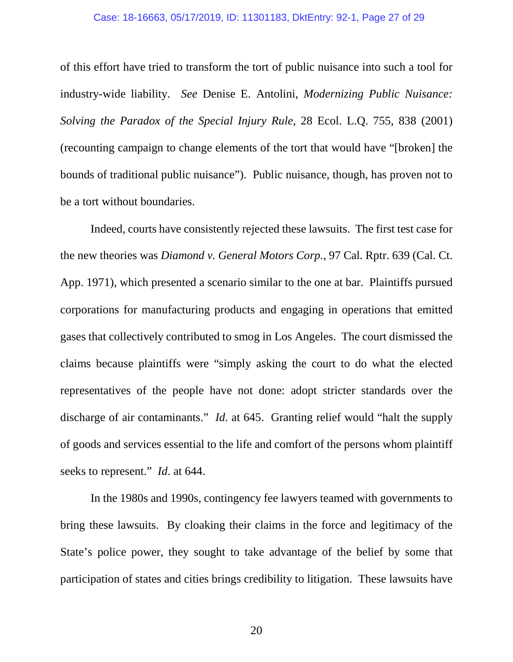#### Case: 18-16663, 05/17/2019, ID: 11301183, DktEntry: 92-1, Page 27 of 29

of this effort have tried to transform the tort of public nuisance into such a tool for industry-wide liability. *See* Denise E. Antolini, *Modernizing Public Nuisance: Solving the Paradox of the Special Injury Rule*, 28 Ecol. L.Q. 755, 838 (2001) (recounting campaign to change elements of the tort that would have "[broken] the bounds of traditional public nuisance"). Public nuisance, though, has proven not to be a tort without boundaries.

Indeed, courts have consistently rejected these lawsuits. The first test case for the new theories was *Diamond v. General Motors Corp.*, 97 Cal. Rptr. 639 (Cal. Ct. App. 1971), which presented a scenario similar to the one at bar. Plaintiffs pursued corporations for manufacturing products and engaging in operations that emitted gases that collectively contributed to smog in Los Angeles. The court dismissed the claims because plaintiffs were "simply asking the court to do what the elected representatives of the people have not done: adopt stricter standards over the discharge of air contaminants." *Id.* at 645. Granting relief would "halt the supply of goods and services essential to the life and comfort of the persons whom plaintiff seeks to represent." *Id*. at 644.

In the 1980s and 1990s, contingency fee lawyers teamed with governments to bring these lawsuits. By cloaking their claims in the force and legitimacy of the State's police power, they sought to take advantage of the belief by some that participation of states and cities brings credibility to litigation. These lawsuits have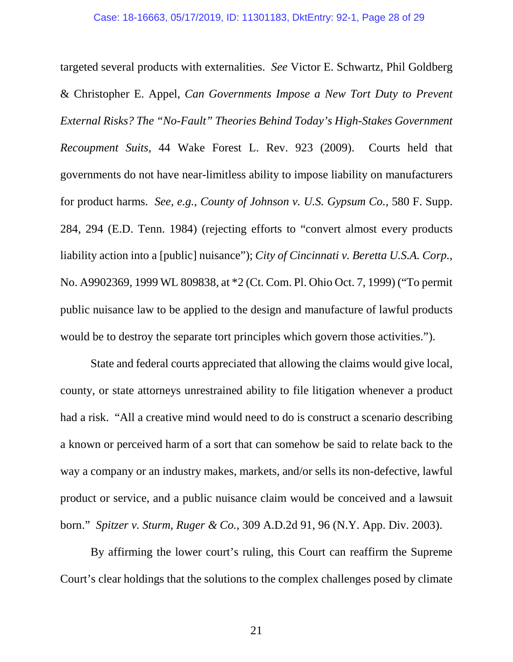targeted several products with externalities. *See* Victor E. Schwartz, Phil Goldberg & Christopher E. Appel, *Can Governments Impose a New Tort Duty to Prevent External Risks? The "No-Fault" Theories Behind Today's High-Stakes Government Recoupment Suits*, 44 Wake Forest L. Rev. 923 (2009). Courts held that governments do not have near-limitless ability to impose liability on manufacturers for product harms. *See*, *e.g.*, *County of Johnson v. U.S. Gypsum Co.*, 580 F. Supp. 284, 294 (E.D. Tenn. 1984) (rejecting efforts to "convert almost every products liability action into a [public] nuisance"); *City of Cincinnati v. Beretta U.S.A. Corp.*, No. A9902369, 1999 WL 809838, at \*2 (Ct. Com. Pl. Ohio Oct. 7, 1999) ("To permit public nuisance law to be applied to the design and manufacture of lawful products would be to destroy the separate tort principles which govern those activities.").

State and federal courts appreciated that allowing the claims would give local, county, or state attorneys unrestrained ability to file litigation whenever a product had a risk. "All a creative mind would need to do is construct a scenario describing a known or perceived harm of a sort that can somehow be said to relate back to the way a company or an industry makes, markets, and/or sells its non-defective, lawful product or service, and a public nuisance claim would be conceived and a lawsuit born." *Spitzer v. Sturm, Ruger & Co.*, 309 A.D.2d 91, 96 (N.Y. App. Div. 2003).

By affirming the lower court's ruling, this Court can reaffirm the Supreme Court's clear holdings that the solutions to the complex challenges posed by climate